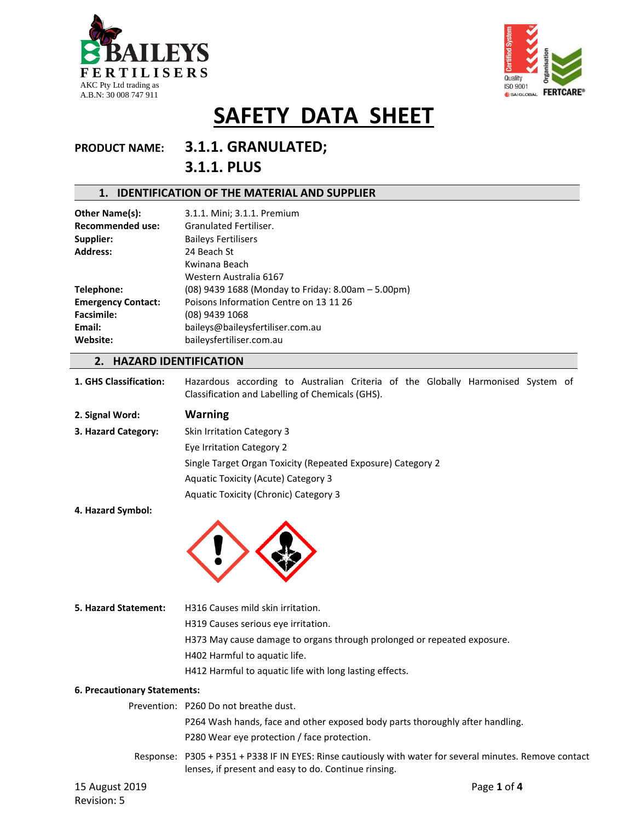



### **PRODUCT NAME: 3.1.1. GRANULATED; 3.1.1. PLUS**

#### **1. IDENTIFICATION OF THE MATERIAL AND SUPPLIER**

| Other Name(s):            | 3.1.1. Mini; 3.1.1. Premium                        |
|---------------------------|----------------------------------------------------|
| <b>Recommended use:</b>   | Granulated Fertiliser.                             |
| Supplier:                 | <b>Baileys Fertilisers</b>                         |
| <b>Address:</b>           | 24 Beach St                                        |
|                           | Kwinana Beach                                      |
|                           | Western Australia 6167                             |
| Telephone:                | (08) 9439 1688 (Monday to Friday: 8.00am – 5.00pm) |
| <b>Emergency Contact:</b> | Poisons Information Centre on 13 11 26             |
| <b>Facsimile:</b>         | (08) 9439 1068                                     |
| Email:                    | baileys@baileysfertiliser.com.au                   |
| Website:                  | baileysfertiliser.com.au                           |
|                           |                                                    |

#### **2. HAZARD IDENTIFICATION**

- **1. GHS Classification:** Hazardous according to Australian Criteria of the Globally Harmonised System of Classification and Labelling of Chemicals (GHS).
- **2. Signal Word: Warning 3. Hazard Category:** Skin Irritation Category 3 Eye Irritation Category 2 Single Target Organ Toxicity (Repeated Exposure) Category 2 Aquatic Toxicity (Acute) Category 3 Aquatic Toxicity (Chronic) Category 3
- **4. Hazard Symbol:**



**5. Hazard Statement:** H316 Causes mild skin irritation. H319 Causes serious eye irritation. H373 May cause damage to organs through prolonged or repeated exposure. H402 Harmful to aquatic life. H412 Harmful to aquatic life with long lasting effects.

#### **6. Precautionary Statements:**

|                | Prevention: P260 Do not breathe dust.                                                                                                                            |
|----------------|------------------------------------------------------------------------------------------------------------------------------------------------------------------|
|                | P264 Wash hands, face and other exposed body parts thoroughly after handling.                                                                                    |
|                | P280 Wear eye protection / face protection.                                                                                                                      |
|                | Response: P305 + P351 + P338 IF IN EYES: Rinse cautiously with water for several minutes. Remove contact<br>lenses, if present and easy to do. Continue rinsing. |
| 15 August 2019 | Page 1 of 4                                                                                                                                                      |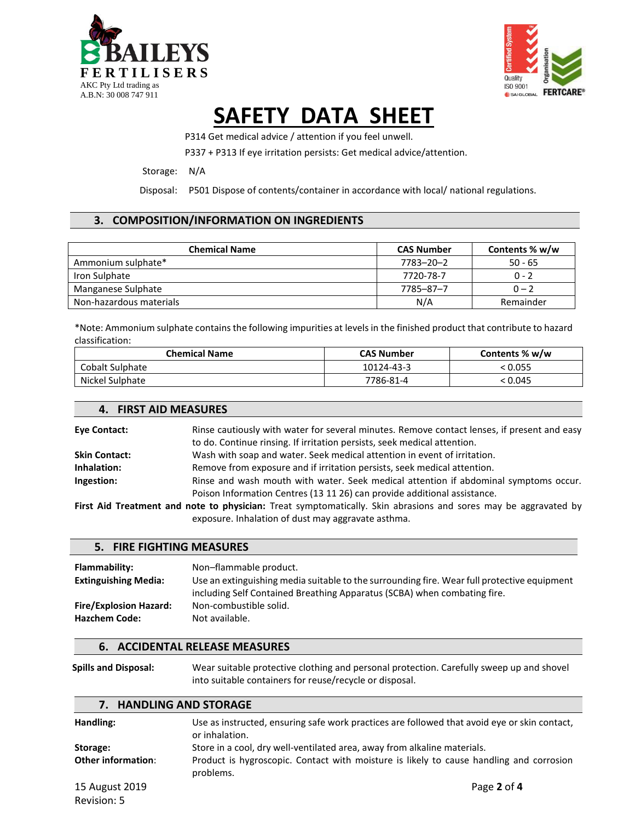



P314 Get medical advice / attention if you feel unwell.

P337 + P313 If eye irritation persists: Get medical advice/attention.

Storage: N/A

**4. FIRST AID MEASURES**

Disposal: P501 Dispose of contents/container in accordance with local/ national regulations.

#### **3. COMPOSITION/INFORMATION ON INGREDIENTS**

| <b>Chemical Name</b>    | <b>CAS Number</b> | Contents % w/w |
|-------------------------|-------------------|----------------|
| Ammonium sulphate*      | 7783-20-2         | $50 - 65$      |
| Iron Sulphate           | 7720-78-7         | $0 - 2$        |
| Manganese Sulphate      | 7785-87-7         | $0 - 2$        |
| Non-hazardous materials | N/A               | Remainder      |

\*Note: Ammonium sulphate contains the following impurities at levels in the finished product that contribute to hazard classification:

| <b>Chemical Name</b> | <b>CAS Number</b> | Contents % w/w |
|----------------------|-------------------|----------------|
| Cobalt Sulphate      | 10124-43-3        | < 0.055        |
| Nickel Sulphate      | 7786-81-4         | < 0.045        |

| <b>Eve Contact:</b>  | Rinse cautiously with water for several minutes. Remove contact lenses, if present and easy<br>to do. Continue rinsing. If irritation persists, seek medical attention. |  |
|----------------------|-------------------------------------------------------------------------------------------------------------------------------------------------------------------------|--|
| <b>Skin Contact:</b> | Wash with soap and water. Seek medical attention in event of irritation.                                                                                                |  |
| Inhalation:          | Remove from exposure and if irritation persists, seek medical attention.                                                                                                |  |
| Ingestion:           | Rinse and wash mouth with water. Seek medical attention if abdominal symptoms occur.                                                                                    |  |
|                      | Poison Information Centres (13 11 26) can provide additional assistance.                                                                                                |  |
|                      | First Aid Treatment and note to nhysician: Treat symptomatically Skin abrasions and sores may be apprayated by                                                          |  |

**First Aid Treatment and note to physician:** Treat symptomatically. Skin abrasions and sores may be aggravated by exposure. Inhalation of dust may aggravate asthma.

| 5. FIRE FIGHTING MEASURES                             |                                                                                                                                                                         |  |  |
|-------------------------------------------------------|-------------------------------------------------------------------------------------------------------------------------------------------------------------------------|--|--|
| Flammability:                                         | Non-flammable product.                                                                                                                                                  |  |  |
| <b>Extinguishing Media:</b>                           | Use an extinguishing media suitable to the surrounding fire. Wear full protective equipment<br>including Self Contained Breathing Apparatus (SCBA) when combating fire. |  |  |
| <b>Fire/Explosion Hazard:</b><br><b>Hazchem Code:</b> | Non-combustible solid.<br>Not available.                                                                                                                                |  |  |

#### **6. ACCIDENTAL RELEASE MEASURES**

**Spills and Disposal:** Wear suitable protective clothing and personal protection. Carefully sweep up and shovel into suitable containers for reuse/recycle or disposal.

#### **7. HANDLING AND STORAGE**

| Handling:          | Use as instructed, ensuring safe work practices are followed that avoid eve or skin contact,<br>or inhalation. |
|--------------------|----------------------------------------------------------------------------------------------------------------|
|                    |                                                                                                                |
| Storage:           | Store in a cool, dry well-ventilated area, away from alkaline materials.                                       |
| Other information: | Product is hygroscopic. Contact with moisture is likely to cause handling and corrosion<br>problems.           |
| 15 August 2019     | Page 2 of 4                                                                                                    |
| Revision: 5        |                                                                                                                |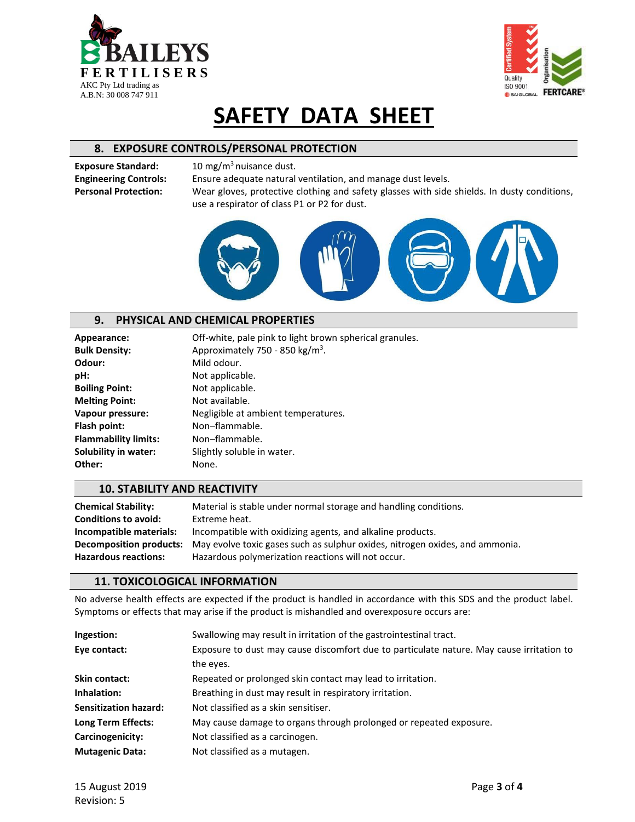



#### **8. EXPOSURE CONTROLS/PERSONAL PROTECTION**

**Exposure Standard:** 10 mg/m<sup>3</sup> nuisance dust.

**Engineering Controls:** Ensure adequate natural ventilation, and manage dust levels. **Personal Protection:** Wear gloves, protective clothing and safety glasses with side shields. In dusty conditions, use a respirator of class P1 or P2 for dust.



#### **9. PHYSICAL AND CHEMICAL PROPERTIES**

| Appearance:                 | Off-white, pale pink to light brown spherical granules. |
|-----------------------------|---------------------------------------------------------|
| <b>Bulk Density:</b>        | Approximately 750 - 850 kg/m <sup>3</sup> .             |
| Odour:                      | Mild odour.                                             |
| pH:                         | Not applicable.                                         |
| <b>Boiling Point:</b>       | Not applicable.                                         |
| <b>Melting Point:</b>       | Not available.                                          |
| Vapour pressure:            | Negligible at ambient temperatures.                     |
| Flash point:                | Non-flammable.                                          |
| <b>Flammability limits:</b> | Non-flammable.                                          |
| <b>Solubility in water:</b> | Slightly soluble in water.                              |
| Other:                      | None.                                                   |
|                             |                                                         |

#### **10. STABILITY AND REACTIVITY**

| <b>Chemical Stability:</b>  | Material is stable under normal storage and handling conditions.                                            |
|-----------------------------|-------------------------------------------------------------------------------------------------------------|
| <b>Conditions to avoid:</b> | Extreme heat.                                                                                               |
| Incompatible materials:     | Incompatible with oxidizing agents, and alkaline products.                                                  |
|                             | <b>Decomposition products:</b> May evolve toxic gases such as sulphur oxides, nitrogen oxides, and ammonia. |
| <b>Hazardous reactions:</b> | Hazardous polymerization reactions will not occur.                                                          |

#### **11. TOXICOLOGICAL INFORMATION**

No adverse health effects are expected if the product is handled in accordance with this SDS and the product label. Symptoms or effects that may arise if the product is mishandled and overexposure occurs are:

| Ingestion:                   | Swallowing may result in irritation of the gastrointestinal tract.                       |
|------------------------------|------------------------------------------------------------------------------------------|
| Eye contact:                 | Exposure to dust may cause discomfort due to particulate nature. May cause irritation to |
|                              | the eyes.                                                                                |
| Skin contact:                | Repeated or prolonged skin contact may lead to irritation.                               |
| Inhalation:                  | Breathing in dust may result in respiratory irritation.                                  |
| <b>Sensitization hazard:</b> | Not classified as a skin sensitiser.                                                     |
| Long Term Effects:           | May cause damage to organs through prolonged or repeated exposure.                       |
| Carcinogenicity:             | Not classified as a carcinogen.                                                          |
| <b>Mutagenic Data:</b>       | Not classified as a mutagen.                                                             |